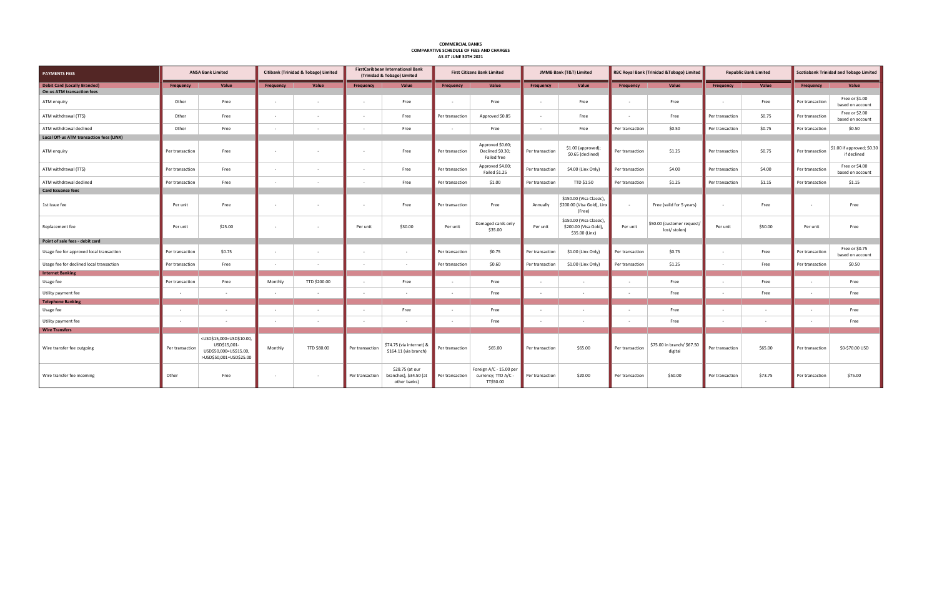| <b>COMPARATIVE SCHEDULE OF FEES AND CHARGES</b><br>AS AT JUNE 30TH 2021  |                 |                                                                                                                                 |           |                                      |                 |                                                                         |                 |                                                             |                 |                                                                     |                          |                                            |                 |                              |                 |                                               |  |
|--------------------------------------------------------------------------|-----------------|---------------------------------------------------------------------------------------------------------------------------------|-----------|--------------------------------------|-----------------|-------------------------------------------------------------------------|-----------------|-------------------------------------------------------------|-----------------|---------------------------------------------------------------------|--------------------------|--------------------------------------------|-----------------|------------------------------|-----------------|-----------------------------------------------|--|
| <b>PAYMENTS FEES</b>                                                     |                 | <b>ANSA Bank Limited</b>                                                                                                        |           | Citibank (Trinidad & Tobago) Limited |                 | <b>FirstCaribbean International Bank</b><br>(Trinidad & Tobago) Limited |                 | <b>First Citizens Bank Limited</b>                          |                 | <b>JMMB Bank (T&amp;T) Limited</b>                                  |                          | RBC Royal Bank (Trinidad & Tobago) Limited |                 | <b>Republic Bank Limited</b> |                 | <b>Scotiabank Trinidad and Tobago Limited</b> |  |
| <b>Debit Card (Locally Branded)</b><br><b>On-us ATM transaction fees</b> | Frequency       | Value                                                                                                                           | Frequency | Value                                | Frequency       | Value                                                                   | Frequency       | Value                                                       | Frequency       | Value                                                               | Frequency                | Value                                      | Frequency       | Value                        | Frequency       | Value                                         |  |
| ATM enquiry                                                              | Other           | Free                                                                                                                            | $\sim$    | $\sim$                               | $\sim$          | Free                                                                    |                 | Free                                                        |                 | Free                                                                | $\sim$                   | Free                                       |                 | Free                         | Per transaction | Free or \$1.00<br>based on account            |  |
| ATM withdrawal (TT\$)                                                    | Other           | Free                                                                                                                            | $\sim$    | $\sim$                               | $\sim$          | Free                                                                    | Per transaction | Approved \$0.85                                             | $\sim$          | Free                                                                | $\sim$                   | Free                                       | Per transaction | \$0.75                       | Per transaction | Free or \$2.00<br>based on account            |  |
| ATM withdrawal declined                                                  | Other           | Free                                                                                                                            |           |                                      |                 | Free                                                                    |                 | Free                                                        |                 | Free                                                                | Per transaction          | \$0.50                                     | Per transaction | \$0.75                       | Per transaction | \$0.50                                        |  |
| Local Off-us ATM transaction fees (LINX)                                 |                 |                                                                                                                                 |           |                                      |                 |                                                                         |                 |                                                             |                 |                                                                     |                          |                                            |                 |                              |                 |                                               |  |
| ATM enquiry                                                              | Per transaction | Free                                                                                                                            | $\sim$    |                                      | $\sim$          | Free                                                                    | Per transaction | Approved \$0.60;<br>Declined \$0.30;<br>Failed free         | Per transaction | \$1.00 (approved);<br>\$0.65 (declined)                             | Per transaction          | \$1.25                                     | Per transaction | \$0.75                       | Per transaction | $$1.00$ if approved; $$0.30$<br>if declined   |  |
| ATM withdrawal (TT\$)                                                    | Per transaction | Free                                                                                                                            | $\sim$    | $\sim$                               | $\sim$          | Free                                                                    | Per transaction | Approved \$4.00;<br>Failed \$1.25                           | Per transaction | \$4.00 (Linx Only)                                                  | Per transaction          | \$4.00                                     | Per transaction | \$4.00                       | Per transaction | Free or \$4.00<br>based on account            |  |
| ATM withdrawal declined                                                  | Per transaction | Free                                                                                                                            | $\sim$    | $\sim$                               | $\sim$          | Free                                                                    | Per transaction | \$1.00                                                      | Per transaction | TTD \$1.50                                                          | Per transaction          | \$1.25                                     | Per transaction | \$1.15                       | Per transaction | \$1.15                                        |  |
| <b>Card Issuance fees</b>                                                |                 |                                                                                                                                 |           |                                      |                 |                                                                         |                 |                                                             |                 |                                                                     |                          |                                            |                 |                              |                 |                                               |  |
| 1st issue fee                                                            | Per unit        | Free                                                                                                                            | $\sim$    | $\sim$                               | $\sim$          | Free                                                                    | Per transaction | Free                                                        | Annually        | \$150.00 (Visa Classic),<br>\$200.00 (Visa Gold), Linx<br>(Free)    | $\overline{\phantom{a}}$ | Free (valid for 5 years)                   |                 | Free                         | $\sim$          | Free                                          |  |
| Replacement fee                                                          | Per unit        | \$25.00                                                                                                                         | $\sim$    | $\overline{\phantom{a}}$             | Per unit        | \$30.00                                                                 | Per unit        | Damaged cards only<br>\$35.00                               | Per unit        | \$150.00 (Visa Classic),<br>\$200.00 (Visa Gold),<br>\$35.00 (Linx) | Per unit                 | \$50.00 (customer request/<br>lost/stolen) | Per unit        | \$50.00                      | Per unit        | Free                                          |  |
| Point of sale fees - debit card                                          |                 |                                                                                                                                 |           |                                      |                 |                                                                         |                 |                                                             |                 |                                                                     |                          |                                            |                 |                              |                 |                                               |  |
| Usage fee for approved local transaction                                 | Per transaction | \$0.75                                                                                                                          | $\sim$    |                                      | $\sim$          | $\sim$                                                                  | Per transaction | \$0.75                                                      | Per transaction | \$1.00 (Linx Only)                                                  | Per transaction          | \$0.75                                     |                 | Free                         | Per transaction | Free or \$0.75<br>based on account            |  |
| Usage fee for declined local transaction                                 | Per transaction | Free                                                                                                                            |           | $\sim$                               | $\sim$          |                                                                         | Per transaction | \$0.60                                                      | Per transaction | \$1.00 (Linx Only)                                                  | Per transaction          | \$1.25                                     |                 | Free                         | Per transaction | \$0.50                                        |  |
| <b>Internet Banking</b>                                                  |                 |                                                                                                                                 |           |                                      |                 |                                                                         |                 |                                                             |                 |                                                                     |                          |                                            |                 |                              |                 |                                               |  |
| Usage fee                                                                | Per transaction | Free                                                                                                                            | Monthly   | TTD \$200.00                         | $\sim$          | Free                                                                    |                 | Free                                                        |                 | $\sim$                                                              |                          | Free                                       |                 | Free                         |                 | Free                                          |  |
| Utility payment fee                                                      |                 | $\sim$                                                                                                                          | $\sim$    | $\sim$                               | $\sim$          | $\sim$                                                                  |                 | Free                                                        |                 | $\sim$                                                              | $\sim$                   | Free                                       |                 | Free                         |                 | Free                                          |  |
| <b>Telephone Banking</b>                                                 |                 |                                                                                                                                 |           |                                      |                 |                                                                         |                 |                                                             |                 |                                                                     |                          |                                            |                 |                              |                 |                                               |  |
| Usage fee                                                                |                 |                                                                                                                                 |           |                                      |                 | Free                                                                    |                 | Free                                                        |                 |                                                                     |                          | Free                                       |                 |                              |                 | Free                                          |  |
| Utility payment fee                                                      |                 | $\sim$                                                                                                                          |           |                                      | $\sim$          |                                                                         |                 | Free                                                        |                 | $\sim$                                                              |                          | Free                                       |                 |                              |                 | Free                                          |  |
| <b>Wire Transfers</b>                                                    |                 |                                                                                                                                 |           |                                      |                 |                                                                         |                 |                                                             |                 |                                                                     |                          |                                            |                 |                              |                 |                                               |  |
| Wire transfer fee outgoing                                               | Per transaction | <usd\$15,000=usd\$10.00,<br>USD\$15,001-<br/>USD\$50,000=US\$15.00,<br/>&gt;USD\$50,001=USD\$25.00</usd\$15,000=usd\$10.00,<br> | Monthly   | TTD \$80.00                          | Per transaction | \$74.75 (via internet) &<br>\$164.11 (via branch)                       | Per transaction | \$65.00                                                     | Per transaction | \$65.00                                                             | Per transaction          | \$75.00 in branch/ \$67.50<br>digital      | Per transaction | \$65.00                      | Per transaction | \$0-\$70.00 USD                               |  |
| Wire transfer fee incoming                                               | Other           | Free                                                                                                                            | $\sim$    | $\sim$                               | Per transaction | \$28.75 (at our<br>branches), \$34.50 (at<br>other banks)               | Per transaction | Foreign A/C - 15.00 per<br>currency; TTD A/C -<br>TT\$50.00 | Per transaction | \$20.00                                                             | Per transaction          | \$50.00                                    | Per transaction | \$73.75                      | Per transaction | \$75.00                                       |  |

**COMMERCIAL BANKS**